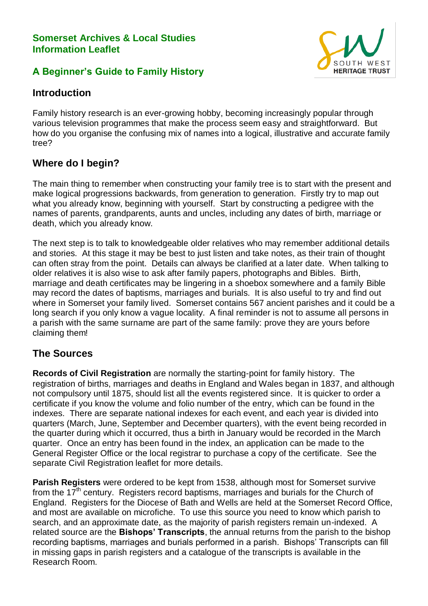#### **Somerset Archives & Local Studies Information Leaflet**

## **A Beginner's Guide to Family History**



## **Introduction**

Family history research is an ever-growing hobby, becoming increasingly popular through various television programmes that make the process seem easy and straightforward. But how do you organise the confusing mix of names into a logical, illustrative and accurate family tree?

# **Where do I begin?**

The main thing to remember when constructing your family tree is to start with the present and make logical progressions backwards, from generation to generation. Firstly try to map out what you already know, beginning with yourself. Start by constructing a pedigree with the names of parents, grandparents, aunts and uncles, including any dates of birth, marriage or death, which you already know.

The next step is to talk to knowledgeable older relatives who may remember additional details and stories. At this stage it may be best to just listen and take notes, as their train of thought can often stray from the point. Details can always be clarified at a later date. When talking to older relatives it is also wise to ask after family papers, photographs and Bibles. Birth, marriage and death certificates may be lingering in a shoebox somewhere and a family Bible may record the dates of baptisms, marriages and burials. It is also useful to try and find out where in Somerset your family lived. Somerset contains 567 ancient parishes and it could be a long search if you only know a vague locality. A final reminder is not to assume all persons in a parish with the same surname are part of the same family: prove they are yours before claiming them!

#### **The Sources**

**Records of Civil Registration** are normally the starting-point for family history. The registration of births, marriages and deaths in England and Wales began in 1837, and although not compulsory until 1875, should list all the events registered since. It is quicker to order a certificate if you know the volume and folio number of the entry, which can be found in the indexes. There are separate national indexes for each event, and each year is divided into quarters (March, June, September and December quarters), with the event being recorded in the quarter during which it occurred, thus a birth in January would be recorded in the March quarter. Once an entry has been found in the index, an application can be made to the General Register Office or the local registrar to purchase a copy of the certificate. See the separate Civil Registration leaflet for more details.

**Parish Registers** were ordered to be kept from 1538, although most for Somerset survive from the  $17<sup>th</sup>$  century. Registers record baptisms, marriages and burials for the Church of England. Registers for the Diocese of Bath and Wells are held at the Somerset Record Office, and most are available on microfiche. To use this source you need to know which parish to search, and an approximate date, as the majority of parish registers remain un-indexed. A related source are the **Bishops' Transcripts**, the annual returns from the parish to the bishop recording baptisms, marriages and burials performed in a parish. Bishops' Transcripts can fill in missing gaps in parish registers and a catalogue of the transcripts is available in the Research Room.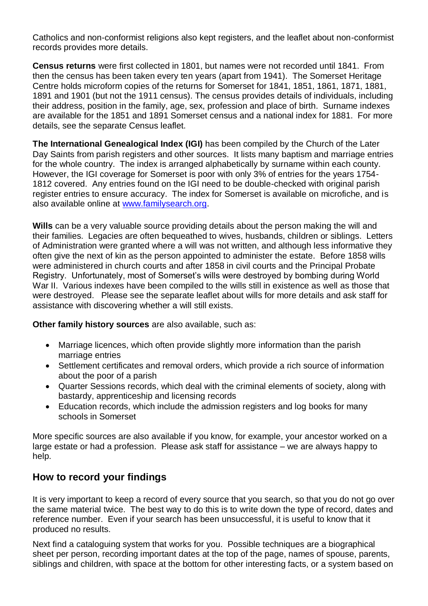Catholics and non-conformist religions also kept registers, and the leaflet about non-conformist records provides more details.

**Census returns** were first collected in 1801, but names were not recorded until 1841. From then the census has been taken every ten years (apart from 1941). The Somerset Heritage Centre holds microform copies of the returns for Somerset for 1841, 1851, 1861, 1871, 1881, 1891 and 1901 (but not the 1911 census). The census provides details of individuals, including their address, position in the family, age, sex, profession and place of birth. Surname indexes are available for the 1851 and 1891 Somerset census and a national index for 1881. For more details, see the separate Census leaflet.

**The International Genealogical Index (IGI)** has been compiled by the Church of the Later Day Saints from parish registers and other sources. It lists many baptism and marriage entries for the whole country. The index is arranged alphabetically by surname within each county. However, the IGI coverage for Somerset is poor with only 3% of entries for the years 1754- 1812 covered. Any entries found on the IGI need to be double-checked with original parish register entries to ensure accuracy. The index for Somerset is available on microfiche, and is also available online at [www.familysearch.org.](http://www.familysearch.org/)

**Wills** can be a very valuable source providing details about the person making the will and their families. Legacies are often bequeathed to wives, husbands, children or siblings. Letters of Administration were granted where a will was not written, and although less informative they often give the next of kin as the person appointed to administer the estate. Before 1858 wills were administered in church courts and after 1858 in civil courts and the Principal Probate Registry. Unfortunately, most of Somerset's wills were destroyed by bombing during World War II. Various indexes have been compiled to the wills still in existence as well as those that were destroyed. Please see the separate leaflet about wills for more details and ask staff for assistance with discovering whether a will still exists.

**Other family history sources** are also available, such as:

- Marriage licences, which often provide slightly more information than the parish marriage entries
- Settlement certificates and removal orders, which provide a rich source of information about the poor of a parish
- Quarter Sessions records, which deal with the criminal elements of society, along with bastardy, apprenticeship and licensing records
- Education records, which include the admission registers and log books for many schools in Somerset

More specific sources are also available if you know, for example, your ancestor worked on a large estate or had a profession. Please ask staff for assistance – we are always happy to help.

# **How to record your findings**

It is very important to keep a record of every source that you search, so that you do not go over the same material twice. The best way to do this is to write down the type of record, dates and reference number. Even if your search has been unsuccessful, it is useful to know that it produced no results.

Next find a cataloguing system that works for you. Possible techniques are a biographical sheet per person, recording important dates at the top of the page, names of spouse, parents, siblings and children, with space at the bottom for other interesting facts, or a system based on